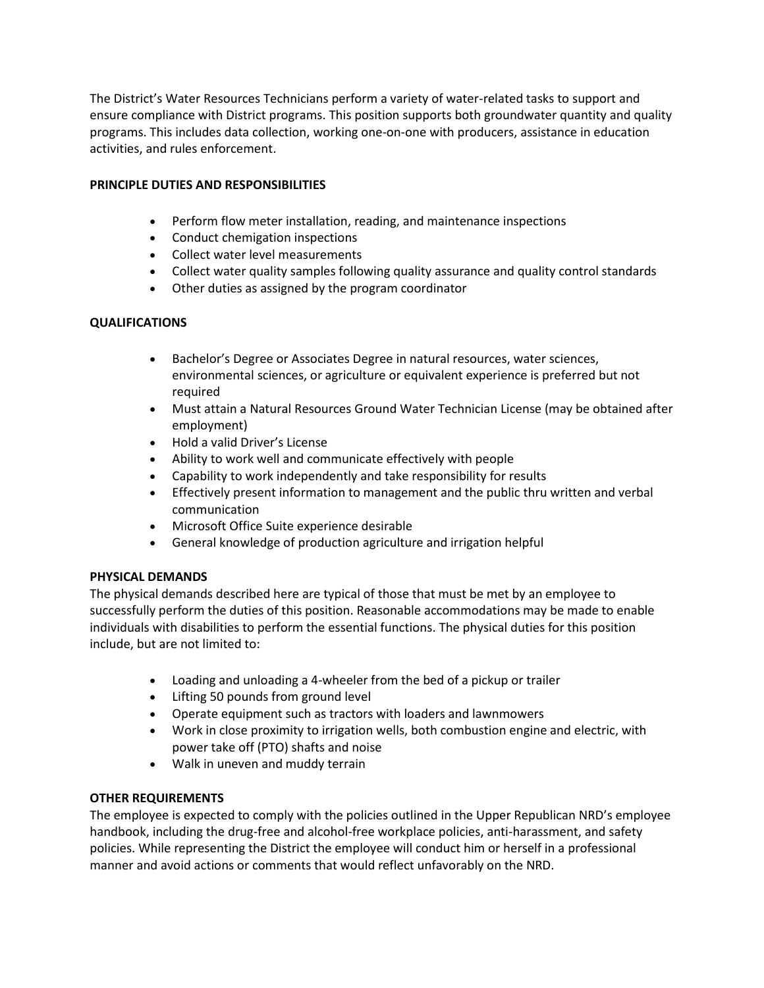The District's Water Resources Technicians perform a variety of water-related tasks to support and ensure compliance with District programs. This position supports both groundwater quantity and quality programs. This includes data collection, working one-on-one with producers, assistance in education activities, and rules enforcement.

## **PRINCIPLE DUTIES AND RESPONSIBILITIES**

- Perform flow meter installation, reading, and maintenance inspections
- Conduct chemigation inspections
- Collect water level measurements
- Collect water quality samples following quality assurance and quality control standards
- Other duties as assigned by the program coordinator

# **QUALIFICATIONS**

- Bachelor's Degree or Associates Degree in natural resources, water sciences, environmental sciences, or agriculture or equivalent experience is preferred but not required
- Must attain a Natural Resources Ground Water Technician License (may be obtained after employment)
- Hold a valid Driver's License
- Ability to work well and communicate effectively with people
- Capability to work independently and take responsibility for results
- Effectively present information to management and the public thru written and verbal communication
- Microsoft Office Suite experience desirable
- General knowledge of production agriculture and irrigation helpful

### **PHYSICAL DEMANDS**

The physical demands described here are typical of those that must be met by an employee to successfully perform the duties of this position. Reasonable accommodations may be made to enable individuals with disabilities to perform the essential functions. The physical duties for this position include, but are not limited to:

- Loading and unloading a 4-wheeler from the bed of a pickup or trailer
- Lifting 50 pounds from ground level
- Operate equipment such as tractors with loaders and lawnmowers
- Work in close proximity to irrigation wells, both combustion engine and electric, with power take off (PTO) shafts and noise
- Walk in uneven and muddy terrain

### **OTHER REQUIREMENTS**

The employee is expected to comply with the policies outlined in the Upper Republican NRD's employee handbook, including the drug-free and alcohol-free workplace policies, anti-harassment, and safety policies. While representing the District the employee will conduct him or herself in a professional manner and avoid actions or comments that would reflect unfavorably on the NRD.